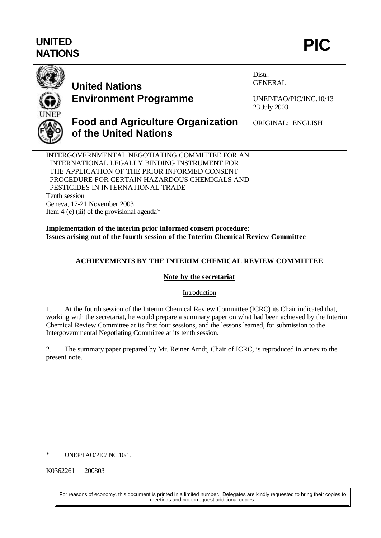# **UNITED** UNITED PIC **PIC**



# **United Nations Environment Programme**

Distr. GENERAL

UNEP/FAO/PIC/INC.10/13 23 July 2003

## **Food and Agriculture Organization of the United Nations**

ORIGINAL: ENGLISH

INTERGOVERNMENTAL NEGOTIATING COMMITTEE FOR AN INTERNATIONAL LEGALLY BINDING INSTRUMENT FOR THE APPLICATION OF THE PRIOR INFORMED CONSENT PROCEDURE FOR CERTAIN HAZARDOUS CHEMICALS AND PESTICIDES IN INTERNATIONAL TRADE Tenth session Geneva, 17-21 November 2003 Item 4 (e) (iii) of the provisional agenda $*$ 

**Implementation of the interim prior informed consent procedure: Issues arising out of the fourth session of the Interim Chemical Review Committee**

### **ACHIEVEMENTS BY THE INTERIM CHEMICAL REVIEW COMMITTEE**

#### **Note by the secretariat**

#### Introduction

1. At the fourth session of the Interim Chemical Review Committee (ICRC) its Chair indicated that, working with the secretariat, he would prepare a summary paper on what had been achieved by the Interim Chemical Review Committee at its first four sessions, and the lessons learned, for submission to the Intergovernmental Negotiating Committee at its tenth session.

2. The summary paper prepared by Mr. Reiner Arndt, Chair of ICRC, is reproduced in annex to the present note.

l \* UNEP/FAO/PIC/INC.10/1.

K0362261 200803

For reasons of economy, this document is printed in a limited number. Delegates are kindly requested to bring their copies to meetings and not to request additional copies.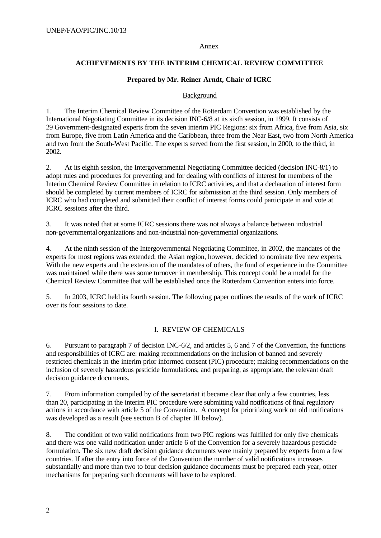#### Annex

#### **ACHIEVEMENTS BY THE INTERIM CHEMICAL REVIEW COMMITTEE**

#### **Prepared by Mr. Reiner Arndt, Chair of ICRC**

#### Background

1. The Interim Chemical Review Committee of the Rotterdam Convention was established by the International Negotiating Committee in its decision INC-6/8 at its sixth session, in 1999. It consists of 29 Government-designated experts from the seven interim PIC Regions: six from Africa, five from Asia, six from Europe, five from Latin America and the Caribbean, three from the Near East, two from North America and two from the South-West Pacific. The experts served from the first session, in 2000, to the third, in 2002.

2. At its eighth session, the Intergovernmental Negotiating Committee decided (decision INC-8/1) to adopt rules and procedures for preventing and for dealing with conflicts of interest for members of the Interim Chemical Review Committee in relation to ICRC activities, and that a declaration of interest form should be completed by current members of ICRC for submission at the third session. Only members of ICRC who had completed and submitted their conflict of interest forms could participate in and vote at ICRC sessions after the third.

3. It was noted that at some ICRC sessions there was not always a balance between industrial non-governmental organizations and non-industrial non-governmental organizations.

4. At the ninth session of the Intergovernmental Negotiating Committee, in 2002, the mandates of the experts for most regions was extended; the Asian region, however, decided to nominate five new experts. With the new experts and the extension of the mandates of others, the fund of experience in the Committee was maintained while there was some turnover in membership. This concept could be a model for the Chemical Review Committee that will be established once the Rotterdam Convention enters into force.

5. In 2003, ICRC held its fourth session. The following paper outlines the results of the work of ICRC over its four sessions to date.

#### I. REVIEW OF CHEMICALS

6. Pursuant to paragraph 7 of decision INC-6/2, and articles 5, 6 and 7 of the Convention, the functions and responsibilities of ICRC are: making recommendations on the inclusion of banned and severely restricted chemicals in the interim prior informed consent (PIC) procedure; making recommendations on the inclusion of severely hazardous pesticide formulations; and preparing, as appropriate, the relevant draft decision guidance documents.

7. From information compiled by of the secretariat it became clear that only a few countries, less than 20, participating in the interim PIC procedure were submitting valid notifications of final regulatory actions in accordance with article 5 of the Convention. A concept for prioritizing work on old notifications was developed as a result (see section B of chapter III below).

8. The condition of two valid notifications from two PIC regions was fulfilled for only five chemicals and there was one valid notification under article 6 of the Convention for a severely hazardous pesticide formulation. The six new draft decision guidance documents were mainly prepared by experts from a few countries. If after the entry into force of the Convention the number of valid notifications increases substantially and more than two to four decision guidance documents must be prepared each year, other mechanisms for preparing such documents will have to be explored.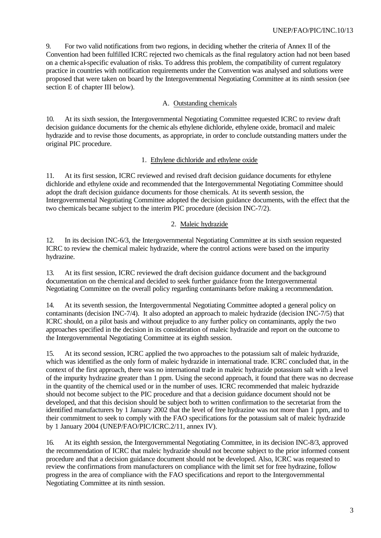#### UNEP/FAO/PIC/INC.10/13

9. For two valid notifications from two regions, in deciding whether the criteria of Annex II of the Convention had been fulfilled ICRC rejected two chemicals as the final regulatory action had not been based on a chemical-specific evaluation of risks. To address this problem, the compatibility of current regulatory practice in countries with notification requirements under the Convention was analysed and solutions were proposed that were taken on board by the Intergovernmental Negotiating Committee at its ninth session (see section E of chapter III below).

#### A. Outstanding chemicals

10. At its sixth session, the Intergovernmental Negotiating Committee requested ICRC to review draft decision guidance documents for the chemic als ethylene dichloride, ethylene oxide, bromacil and maleic hydrazide and to revise those documents, as appropriate, in order to conclude outstanding matters under the original PIC procedure.

#### 1. Ethylene dichloride and ethylene oxide

11. At its first session, ICRC reviewed and revised draft decision guidance documents for ethylene dichloride and ethylene oxide and recommended that the Intergovernmental Negotiating Committee should adopt the draft decision guidance documents for those chemicals. At its seventh session, the Intergovernmental Negotiating Committee adopted the decision guidance documents, with the effect that the two chemicals became subject to the interim PIC procedure (decision INC-7/2).

#### 2. Maleic hydrazide

12. In its decision INC-6/3, the Intergovernmental Negotiating Committee at its sixth session requested ICRC to review the chemical maleic hydrazide, where the control actions were based on the impurity hydrazine.

13. At its first session, ICRC reviewed the draft decision guidance document and the background documentation on the chemical and decided to seek further guidance from the Intergovernmental Negotiating Committee on the overall policy regarding contaminants before making a recommendation.

14. At its seventh session, the Intergovernmental Negotiating Committee adopted a general policy on contaminants (decision INC-7/4). It also adopted an approach to maleic hydrazide (decision INC-7/5) that ICRC should, on a pilot basis and without prejudice to any further policy on contaminants, apply the two approaches specified in the decision in its consideration of maleic hydrazide and report on the outcome to the Intergovernmental Negotiating Committee at its eighth session.

15. At its second session, ICRC applied the two approaches to the potassium salt of maleic hydrazide, which was identified as the only form of maleic hydrazide in international trade. ICRC concluded that, in the context of the first approach, there was no international trade in maleic hydrazide potassium salt with a level of the impurity hydrazine greater than 1 ppm. Using the second approach, it found that there was no decrease in the quantity of the chemical used or in the number of uses. ICRC recommended that maleic hydrazide should not become subject to the PIC procedure and that a decision guidance document should not be developed, and that this decision should be subject both to written confirmation to the secretariat from the identified manufacturers by 1 January 2002 that the level of free hydrazine was not more than 1 ppm, and to their commitment to seek to comply with the FAO specifications for the potassium salt of maleic hydrazide by 1 January 2004 (UNEP/FAO/PIC/ICRC.2/11, annex IV).

16. At its eighth session, the Intergovernmental Negotiating Committee, in its decision INC-8/3, approved the recommendation of ICRC that maleic hydrazide should not become subject to the prior informed consent procedure and that a decision guidance document should not be developed. Also, ICRC was requested to review the confirmations from manufacturers on compliance with the limit set for free hydrazine, follow progress in the area of compliance with the FAO specifications and report to the Intergovernmental Negotiating Committee at its ninth session.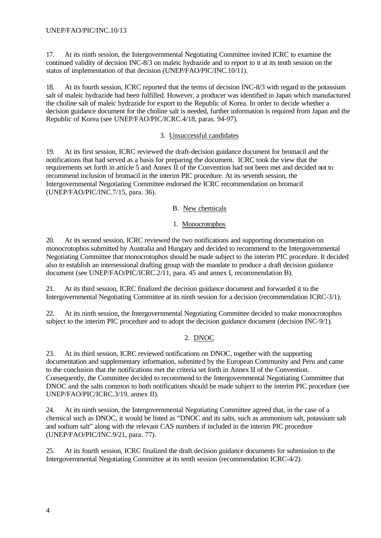17. At its ninth session, the Intergovernmental Negotiating Committee invited ICRC to examine the continued validity of decision INC-8/3 on maleic hydrazide and to report to it at its tenth session on the status of implementation of that decision (UNEP/FAO/PIC/INC.10/11).

18. At its fourth session, ICRC reported that the terms of decision INC-8/3 with regard to the potassium salt of maleic hydrazide had been fulfilled. However, a producer was identified in Japan which manufactured the choline salt of maleic hydrazide for export to the Republic of Korea. In order to decide whether a decision guidance document for the choline salt is needed, further information is required from Japan and the Republic of Korea (see UNEP/FAO/PIC/ICRC.4/18, paras. 94-97).

#### 3. Unsuccessful candidates

19. At its first session, ICRC reviewed the draft-decision guidance document for bromacil and the notifications that had served as a basis for preparing the document. ICRC took the view that the requirements set forth in article 5 and Annex II of the Convention had not been met and decided not to recommend inclusion of bromacil in the interim PIC procedure. At its seventh session, the Intergovernmental Negotiating Committee endorsed the ICRC recommendation on bromacil (UNEP/FAO/PIC/INC.7/15, para. 36).

#### B. New chemicals

#### 1. Monocrotophos

20. At its second session, ICRC reviewed the two notifications and supporting documentation on monocrotophos submitted by Australia and Hungary and decided to recommend to the Intergovernmental Negotiating Committee that monocrotophos should be made subject to the interim PIC procedure. It decided also to establish an intersessional drafting group with the mandate to produce a draft decision guidance document (see UNEP/FAO/PIC/ICRC.2/11, para. 45 and annex I, recommendation B).

21. At its third session, ICRC finalized the decision guidance document and forwarded it to the Intergovernmental Negotiating Committee at its ninth session for a decision (recommendation ICRC-3/1).

22. At its ninth session, the Intergovernmental Negotiating Committee decided to make monocrotophos subject to the interim PIC procedure and to adopt the decision guidance document (decision INC-9/1).

#### 2. DNOC

23. At its third session, ICRC reviewed notifications on DNOC, together with the supporting documentation and supplementary information, submitted by the European Community and Peru and came to the conclusion that the notifications met the criteria set forth in Annex II of the Convention. Consequently, the Committee decided to recommend to the Intergovernmental Negotiating Committee that DNOC and the salts common to both notifications should be made subject to the interim PIC procedure (see UNEP/FAO/PIC/ICRC.3/19, annex II).

24. At its ninth session, the Intergovernmental Negotiating Committee agreed that, in the case of a chemical such as DNOC, it would be listed as "DNOC and its salts, such as ammonium salt, potassium salt and sodium salt" along with the relevant CAS numbers if included in the interim PIC procedure (UNEP/FAO/PIC/INC.9/21, para. 77).

25. At its fourth session, ICRC finalized the draft decision guidance documents for submission to the Intergovernmental Negotiating Committee at its tenth session (recommendation ICRC-4/2).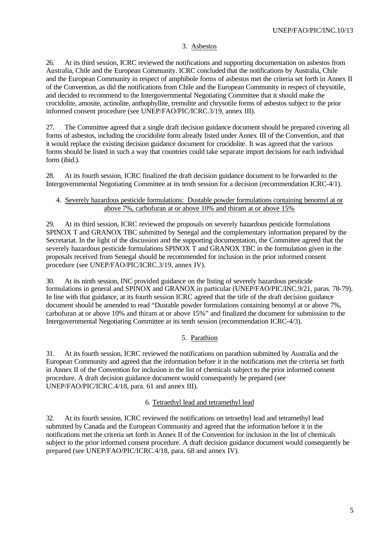#### 3. Asbestos

26. At its third session, ICRC reviewed the notifications and supporting documentation on asbestos from Australia, Chile and the European Community. ICRC concluded that the notifications by Australia, Chile and the European Community in respect of amphibole forms of asbestos met the criteria set forth in Annex II of the Convention, as did the notifications from Chile and the European Community in respect of chrysotile, and decided to recommend to the Intergovernmental Negotiating Committee that it should make the crocidolite, amosite, actinolite, anthophyllite, tremolite and chrysotile forms of asbestos subject to the prior informed consent procedure (see UNEP/FAO/PIC/ICRC.3/19, annex III).

27. The Committee agreed that a single draft decision guidance document should be prepared covering all forms of asbestos, including the crocidolite form already listed under Annex III of the Convention, and that it would replace the existing decision guidance document for crocidolite. It was agreed that the various forms should be listed in such a way that countries could take separate import decisions for each individual form (ibid.).

28. At its fourth session, ICRC finalized the draft decision guidance document to be forwarded to the Intergovernmental Negotiating Committee at its tenth session for a decision (recommendation ICRC-4/1).

#### 4. Severely hazardous pesticide formulations: Dustable powder formulations containing benomyl at or above 7%, carbofuran at or above 10% and thiram at or above 15%

29. At its third session, ICRC reviewed the proposals on severely hazardous pesticide formulations SPINOX T and GRANOX TBC submitted by Senegal and the complementary information prepared by the Secretariat. In the light of the discussion and the supporting documentation, the Committee agreed that the severely hazardous pesticide formulations SPINOX T and GRANOX TBC in the formulation given in the proposals received from Senegal should be recommended for inclusion in the prior informed consent procedure (see UNEP/FAO/PIC/ICRC.3/19, annex IV).

30. At its ninth session, INC provided guidance on the listing of severely hazardous pesticide formulations in general and SPINOX and GRANOX in particular (UNEP/FAO/PIC/INC.9/21, paras. 78-79). In line with that guidance, at its fourth session ICRC agreed that the title of the draft decision guidance document should be amended to read "Dustable powder formulations containing benomyl at or above 7%, carbofuran at or above 10% and thiram at or above 15%" and finalized the document for submission to the Intergovernmental Negotiating Committee at its tenth session (recommendation ICRC-4/3).

#### 5. Parathion

31. At its fourth session, ICRC reviewed the notifications on parathion submitted by Australia and the European Community and agreed that the information before it in the notifications met the criteria set forth in Annex II of the Convention for inclusion in the list of chemicals subject to the prior informed consent procedure. A draft decision guidance document would consequently be prepared (see UNEP/FAO/PIC/ICRC.4/18, para. 61 and annex III).

#### 6. Tetraethyl lead and tetramethyl lead

32. At its fourth session, ICRC reviewed the notifications on tetraethyl lead and tetramethyl lead submitted by Canada and the European Community and agreed that the information before it in the notifications met the criteria set forth in Annex II of the Convention for inclusion in the list of chemicals subject to the prior informed consent procedure. A draft decision guidance document would consequently be prepared (see UNEP/FAO/PIC/ICRC.4/18, para. 68 and annex IV).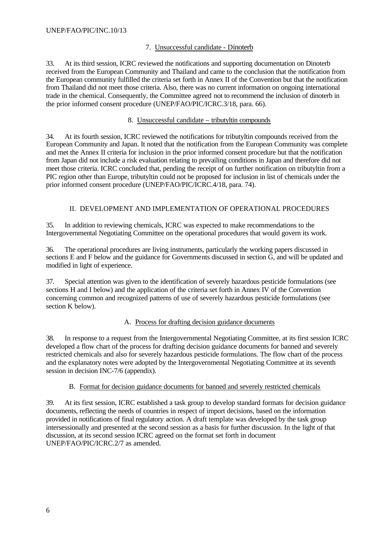#### 7. Unsuccessful candidate - Dinoterb

33. At its third session, ICRC reviewed the notifications and supporting documentation on Dinoterb received from the European Community and Thailand and came to the conclusion that the notification from the European community fulfilled the criteria set forth in Annex II of the Convention but that the notification from Thailand did not meet those criteria. Also, there was no current information on ongoing international trade in the chemical. Consequently, the Committee agreed not to recommend the inclusion of dinoterb in the prior informed consent procedure (UNEP/FAO/PIC/ICRC.3/18, para. 66).

#### 8. Unsuccessful candidate – tributyltin compounds

34. At its fourth session, ICRC reviewed the notifications for tributyltin compounds received from the European Community and Japan. It noted that the notification from the European Community was complete and met the Annex II criteria for inclusion in the prior informed consent procedure but that the notification from Japan did not include a risk evaluation relating to prevailing conditions in Japan and therefore did not meet those criteria. ICRC concluded that, pending the receipt of on further notification on tributyltin from a PIC region other than Europe, tributyltin could not be proposed for inclusion in list of chemicals under the prior informed consent procedure (UNEP/FAO/PIC/ICRC.4/18, para. 74).

#### II. DEVELOPMENT AND IMPLEMENTATION OF OPERATIONAL PROCEDURES

35. In addition to reviewing chemicals, ICRC was expected to make recommendations to the Intergovernmental Negotiating Committee on the operational procedures that would govern its work.

36. The operational procedures are living instruments, particularly the working papers discussed in sections E and F below and the guidance for Governments discussed in section G, and will be updated and modified in light of experience.

37. Special attention was given to the identification of severely hazardous pesticide formulations (see sections H and I below) and the application of the criteria set forth in Annex IV of the Convention concerning common and recognized patterns of use of severely hazardous pesticide formulations (see section K below).

#### A. Process for drafting decision guidance documents

38. In response to a request from the Intergovernmental Negotiating Committee, at its first session ICRC developed a flow chart of the process for drafting decision guidance documents for banned and severely restricted chemicals and also for severely hazardous pesticide formulations. The flow chart of the process and the explanatory notes were adopted by the Intergovernmental Negotiating Committee at its seventh session in decision INC-7/6 (appendix).

#### B. Format for decision guidance documents for banned and severely restricted chemicals

39. At its first session, ICRC established a task group to develop standard formats for decision guidance documents, reflecting the needs of countries in respect of import decisions, based on the information provided in notifications of final regulatory action. A draft template was developed by the task group intersessionally and presented at the second session as a basis for further discussion. In the light of that discussion, at its second session ICRC agreed on the format set forth in document UNEP/FAO/PIC/ICRC.2/7 as amended.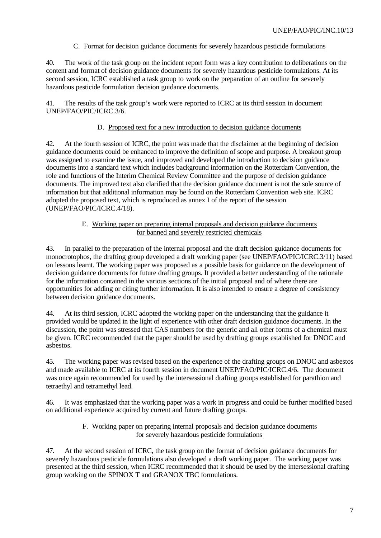#### C. Format for decision guidance documents for severely hazardous pesticide formulations

40. The work of the task group on the incident report form was a key contribution to deliberations on the content and format of decision guidance documents for severely hazardous pesticide formulations. At its second session, ICRC established a task group to work on the preparation of an outline for severely hazardous pesticide formulation decision guidance documents.

41. The results of the task group's work were reported to ICRC at its third session in document UNEP/FAO/PIC/ICRC.3/6.

#### D. Proposed text for a new introduction to decision guidance documents

42. At the fourth session of ICRC, the point was made that the disclaimer at the beginning of decision guidance documents could be enhanced to improve the definition of scope and purpose. A breakout group was assigned to examine the issue, and improved and developed the introduction to decision guidance documents into a standard text which includes background information on the Rotterdam Convention, the role and functions of the Interim Chemical Review Committee and the purpose of decision guidance documents. The improved text also clarified that the decision guidance document is not the sole source of information but that additional information may be found on the Rotterdam Convention web site. ICRC adopted the proposed text, which is reproduced as annex I of the report of the session (UNEP/FAO/PIC/ICRC.4/18).

#### E. Working paper on preparing internal proposals and decision guidance documents for banned and severely restricted chemicals

43. In parallel to the preparation of the internal proposal and the draft decision guidance documents for monocrotophos, the drafting group developed a draft working paper (see UNEP/FAO/PIC/ICRC.3/11) based on lessons learnt. The working paper was proposed as a possible basis for guidance on the development of decision guidance documents for future drafting groups. It provided a better understanding of the rationale for the information contained in the various sections of the initial proposal and of where there are opportunities for adding or citing further information. It is also intended to ensure a degree of consistency between decision guidance documents.

44. At its third session, ICRC adopted the working paper on the understanding that the guidance it provided would be updated in the light of experience with other draft decision guidance documents. In the discussion, the point was stressed that CAS numbers for the generic and all other forms of a chemical must be given. ICRC recommended that the paper should be used by drafting groups established for DNOC and asbestos.

45. The working paper was revised based on the experience of the drafting groups on DNOC and asbestos and made available to ICRC at its fourth session in document UNEP/FAO/PIC/ICRC.4/6. The document was once again recommended for used by the intersessional drafting groups established for parathion and tetraethyl and tetramethyl lead.

46. It was emphasized that the working paper was a work in progress and could be further modified based on additional experience acquired by current and future drafting groups.

#### F. Working paper on preparing internal proposals and decision guidance documents for severely hazardous pesticide formulations

47. At the second session of ICRC, the task group on the format of decision guidance documents for severely hazardous pesticide formulations also developed a draft working paper. The working paper was presented at the third session, when ICRC recommended that it should be used by the intersessional drafting group working on the SPINOX T and GRANOX TBC formulations.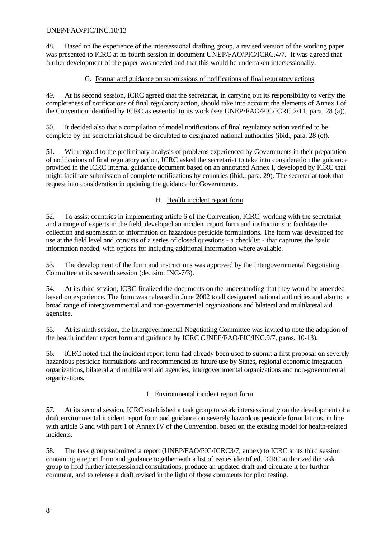48. Based on the experience of the intersessional drafting group, a revised version of the working paper was presented to ICRC at its fourth session in document UNEP/FAO/PIC/ICRC.4/7. It was agreed that further development of the paper was needed and that this would be undertaken intersessionally.

#### G. Format and guidance on submissions of notifications of final regulatory actions

49. At its second session, ICRC agreed that the secretariat, in carrying out its responsibility to verify the completeness of notifications of final regulatory action, should take into account the elements of Annex I of the Convention identified by ICRC as essential to its work (see UNEP/FAO/PIC/ICRC.2/11, para. 28 (a)).

50. It decided also that a compilation of model notifications of final regulatory action verified to be complete by the secretariat should be circulated to designated national authorities (ibid., para. 28 (c)).

51. With regard to the preliminary analysis of problems experienced by Governments in their preparation of notifications of final regulatory action, ICRC asked the secretariat to take into consideration the guidance provided in the ICRC internal guidance document based on an annotated Annex I, developed by ICRC that might facilitate submission of complete notifications by countries (ibid., para. 29). The secretariat took that request into consideration in updating the guidance for Governments.

#### H. Health incident report form

52. To assist countries in implementing article 6 of the Convention, ICRC, working with the secretariat and a range of experts in the field, developed an incident report form and instructions to facilitate the collection and submission of information on hazardous pesticide formulations. The form was developed for use at the field level and consists of a series of closed questions - a checklist - that captures the basic information needed, with options for including additional information where available.

53. The development of the form and instructions was approved by the Intergovernmental Negotiating Committee at its seventh session (decision INC-7/3).

54. At its third session, ICRC finalized the documents on the understanding that they would be amended based on experience. The form was released in June 2002 to all designated national authorities and also to a broad range of intergovernmental and non-governmental organizations and bilateral and multilateral aid agencies.

55. At its ninth session, the Intergovernmental Negotiating Committee was invited to note the adoption of the health incident report form and guidance by ICRC (UNEP/FAO/PIC/INC.9/7, paras. 10-13).

56. ICRC noted that the incident report form had already been used to submit a first proposal on severely hazardous pesticide formulations and recommended its future use by States, regional economic integration organizations, bilateral and multilateral aid agencies, intergovernmental organizations and non-governmental organizations.

#### I. Environmental incident report form

57. At its second session, ICRC established a task group to work intersessionally on the development of a draft environmental incident report form and guidance on severely hazardous pesticide formulations, in line with article 6 and with part 1 of Annex IV of the Convention, based on the existing model for health-related incidents.

58. The task group submitted a report (UNEP/FAO/PIC/ICRC3/7, annex) to ICRC at its third session containing a report form and guidance together with a list of issues identified. ICRC authorized the task group to hold further intersessional consultations, produce an updated draft and circulate it for further comment, and to release a draft revised in the light of those comments for pilot testing.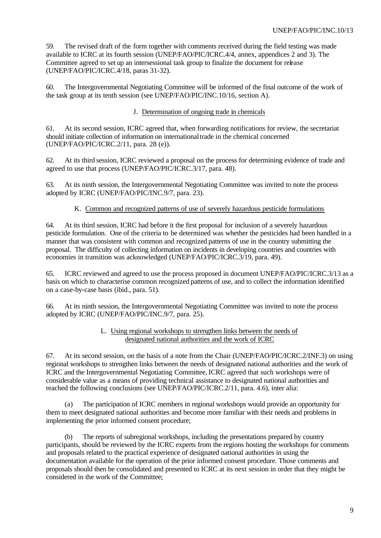59. The revised draft of the form together with comments received during the field testing was made available to ICRC at its fourth session (UNEP/FAO/PIC/ICRC.4/4, annex, appendices 2 and 3). The Committee agreed to set up an intersessional task group to finalize the document for release (UNEP/FAO/PIC/ICRC.4/18, paras 31-32).

60. The Intergovernmental Negotiating Committee will be informed of the final outcome of the work of the task group at its tenth session (see UNEP/FAO/PIC/INC.10/16, section A).

#### J. Determination of ongoing trade in chemicals

61. At its second session, ICRC agreed that, when forwarding notifications for review, the secretariat should initiate collection of information on international trade in the chemical concerned (UNEP/FAO/PIC/ICRC.2/11, para. 28 (e)).

62. At its third session, ICRC reviewed a proposal on the process for determining evidence of trade and agreed to use that process (UNEP/FAO/PIC/ICRC.3/17, para. 48).

63. At its ninth session, the Intergovernmental Negotiating Committee was invited to note the process adopted by ICRC (UNEP/FAO/PIC/INC.9/7, para. 23).

#### K. Common and recognized patterns of use of severely hazardous pesticide formulations

64. At its third session, ICRC had before it the first proposal for inclusion of a severely hazardous pesticide formulation. One of the criteria to be determined was whether the pesticides had been handled in a manner that was consistent with common and recognized patterns of use in the country submitting the proposal. The difficulty of collecting information on incidents in developing countries and countries with economies in transition was acknowledged (UNEP/FAO/PIC/ICRC.3/19, para. 49).

65. ICRC reviewed and agreed to use the process proposed in document UNEP/FAO/PIC/ICRC.3/13 as a basis on which to characterise common recognized patterns of use, and to collect the information identified on a case-by-case basis (ibid., para. 51).

66. At its ninth session, the Intergovernmental Negotiating Committee was invited to note the process adopted by ICRC (UNEP/FAO/PIC/INC.9/7, para. 25).

#### L. Using regional workshops to strengthen links between the needs of designated national authorities and the work of ICRC

67. At its second session, on the basis of a note from the Chair (UNEP/FAO/PIC/ICRC.2/INF.3) on using regional workshops to strengthen links between the needs of designated national authorities and the work of ICRC and the Intergovernmental Negotiating Committee, ICRC agreed that such workshops were of considerable value as a means of providing technical assistance to designated national authorities and reached the following conclusions (see UNEP/FAO/PIC/ICRC.2/11, para. 4.6), inter alia:

(a) The participation of ICRC members in regional workshops would provide an opportunity for them to meet designated national authorities and become more familiar with their needs and problems in implementing the prior informed consent procedure;

(b) The reports of subregional workshops, including the presentations prepared by country participants, should be reviewed by the ICRC experts from the regions hosting the workshops for comments and proposals related to the practical experience of designated national authorities in using the documentation available for the operation of the prior informed consent procedure. Those comments and proposals should then be consolidated and presented to ICRC at its next session in order that they might be considered in the work of the Committee;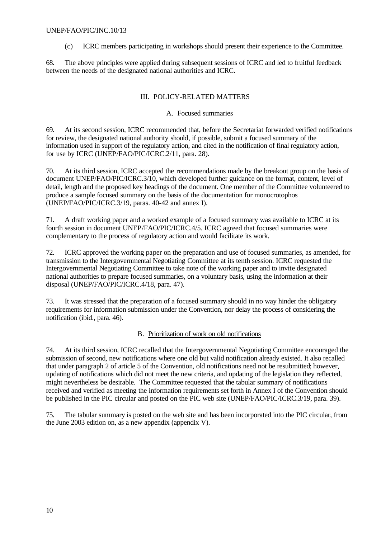#### UNEP/FAO/PIC/INC.10/13

(c) ICRC members participating in workshops should present their experience to the Committee.

68. The above principles were applied during subsequent sessions of ICRC and led to fruitful feedback between the needs of the designated national authorities and ICRC.

#### III. POLICY-RELATED MATTERS

#### A. Focused summaries

69. At its second session, ICRC recommended that, before the Secretariat forwarded verified notifications for review, the designated national authority should, if possible, submit a focused summary of the information used in support of the regulatory action, and cited in the notification of final regulatory action, for use by ICRC (UNEP/FAO/PIC/ICRC.2/11, para. 28).

70. At its third session, ICRC accepted the recommendations made by the breakout group on the basis of document UNEP/FAO/PIC/ICRC.3/10, which developed further guidance on the format, content, level of detail, length and the proposed key headings of the document. One member of the Committee volunteered to produce a sample focused summary on the basis of the documentation for monocrotophos (UNEP/FAO/PIC/ICRC.3/19, paras. 40-42 and annex I).

71. A draft working paper and a worked example of a focused summary was available to ICRC at its fourth session in document UNEP/FAO/PIC/ICRC.4/5. ICRC agreed that focused summaries were complementary to the process of regulatory action and would facilitate its work.

72. ICRC approved the working paper on the preparation and use of focused summaries, as amended, for transmission to the Intergovernmental Negotiating Committee at its tenth session. ICRC requested the Intergovernmental Negotiating Committee to take note of the working paper and to invite designated national authorities to prepare focused summaries, on a voluntary basis, using the information at their disposal (UNEP/FAO/PIC/ICRC.4/18, para. 47).

73. It was stressed that the preparation of a focused summary should in no way hinder the obligatory requirements for information submission under the Convention, nor delay the process of considering the notification (ibid., para. 46).

#### B. Prioritization of work on old notifications

74. At its third session, ICRC recalled that the Intergovernmental Negotiating Committee encouraged the submission of second, new notifications where one old but valid notification already existed. It also recalled that under paragraph 2 of article 5 of the Convention, old notifications need not be resubmitted; however, updating of notifications which did not meet the new criteria, and updating of the legislation they reflected, might nevertheless be desirable. The Committee requested that the tabular summary of notifications received and verified as meeting the information requirements set forth in Annex I of the Convention should be published in the PIC circular and posted on the PIC web site (UNEP/FAO/PIC/ICRC.3/19, para. 39).

75. The tabular summary is posted on the web site and has been incorporated into the PIC circular, from the June 2003 edition on, as a new appendix (appendix V).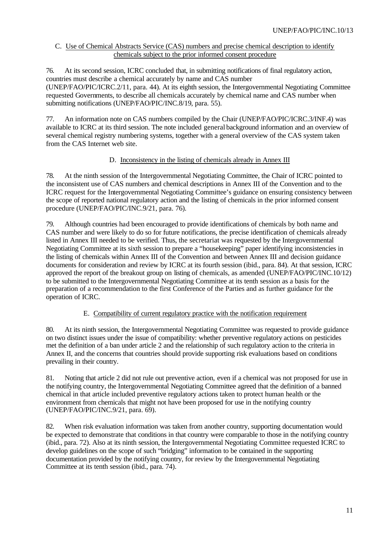#### C. Use of Chemical Abstracts Service (CAS) numbers and precise chemical description to identify chemicals subject to the prior informed consent procedure

76. At its second session, ICRC concluded that, in submitting notifications of final regulatory action, countries must describe a chemical accurately by name and CAS number (UNEP/FAO/PIC/ICRC.2/11, para. 44). At its eighth session, the Intergovernmental Negotiating Committee requested Governments, to describe all chemicals accurately by chemical name and CAS number when submitting notifications (UNEP/FAO/PIC/INC.8/19, para. 55).

77. An information note on CAS numbers compiled by the Chair (UNEP/FAO/PIC/ICRC.3/INF.4) was available to ICRC at its third session. The note included general background information and an overview of several chemical registry numbering systems, together with a general overview of the CAS system taken from the CAS Internet web site.

#### D. Inconsistency in the listing of chemicals already in Annex III

78. At the ninth session of the Intergovernmental Negotiating Committee, the Chair of ICRC pointed to the inconsistent use of CAS numbers and chemical descriptions in Annex III of the Convention and to the ICRC request for the Intergovernmental Negotiating Committee's guidance on ensuring consistency between the scope of reported national regulatory action and the listing of chemicals in the prior informed consent procedure (UNEP/FAO/PIC/INC.9/21, para. 76).

79. Although countries had been encouraged to provide identifications of chemicals by both name and CAS number and were likely to do so for future notifications, the precise identification of chemicals already listed in Annex III needed to be verified. Thus, the secretariat was requested by the Intergovernmental Negotiating Committee at its sixth session to prepare a "housekeeping" paper identifying inconsistencies in the listing of chemicals within Annex III of the Convention and between Annex III and decision guidance documents for consideration and review by ICRC at its fourth session (ibid., para. 84). At that session, ICRC approved the report of the breakout group on listing of chemicals, as amended (UNEP/FAO/PIC/INC.10/12) to be submitted to the Intergovernmental Negotiating Committee at its tenth session as a basis for the preparation of a recommendation to the first Conference of the Parties and as further guidance for the operation of ICRC.

#### E. Compatibility of current regulatory practice with the notification requirement

80. At its ninth session, the Intergovernmental Negotiating Committee was requested to provide guidance on two distinct issues under the issue of compatibility: whether preventive regulatory actions on pesticides met the definition of a ban under article 2 and the relationship of such regulatory action to the criteria in Annex II, and the concerns that countries should provide supporting risk evaluations based on conditions prevailing in their country.

81. Noting that article 2 did not rule out preventive action, even if a chemical was not proposed for use in the notifying country, the Intergovernmental Negotiating Committee agreed that the definition of a banned chemical in that article included preventive regulatory actions taken to protect human health or the environment from chemicals that might not have been proposed for use in the notifying country (UNEP/FAO/PIC/INC.9/21, para. 69).

82. When risk evaluation information was taken from another country, supporting documentation would be expected to demonstrate that conditions in that country were comparable to those in the notifying country (ibid., para. 72). Also at its ninth session, the Intergovernmental Negotiating Committee requested ICRC to develop guidelines on the scope of such "bridging" information to be contained in the supporting documentation provided by the notifying country, for review by the Intergovernmental Negotiating Committee at its tenth session (ibid., para. 74).